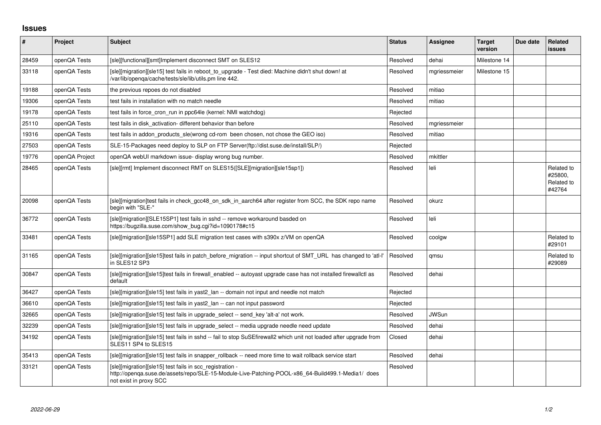## **Issues**

| $\vert$ # | Project        | Subject                                                                                                                                                                                 | <b>Status</b> | Assignee     | <b>Target</b><br>version | Due date | <b>Related</b><br><b>issues</b>               |
|-----------|----------------|-----------------------------------------------------------------------------------------------------------------------------------------------------------------------------------------|---------------|--------------|--------------------------|----------|-----------------------------------------------|
| 28459     | openQA Tests   | [sle][functional][smt]Implement disconnect SMT on SLES12                                                                                                                                | Resolved      | dehai        | Milestone 14             |          |                                               |
| 33118     | openQA Tests   | [sle][migration][sle15] test fails in reboot_to_upgrade - Test died: Machine didn't shut down! at<br>/var/lib/openqa/cache/tests/sle/lib/utils.pm line 442.                             | Resolved      | mgriessmeier | Milestone 15             |          |                                               |
| 19188     | openQA Tests   | the previous repoes do not disabled                                                                                                                                                     | Resolved      | mitiao       |                          |          |                                               |
| 19306     | openQA Tests   | test fails in installation with no match needle                                                                                                                                         | Resolved      | mitiao       |                          |          |                                               |
| 19178     | openQA Tests   | test fails in force_cron_run in ppc64le (kernel: NMI watchdog)                                                                                                                          | Rejected      |              |                          |          |                                               |
| 25110     | openQA Tests   | test fails in disk activation-different behavior than before                                                                                                                            | Resolved      | mgriessmeier |                          |          |                                               |
| 19316     | openQA Tests   | test fails in addon products sle(wrong cd-rom been chosen, not chose the GEO iso)                                                                                                       | Resolved      | mitiao       |                          |          |                                               |
| 27503     | openQA Tests   | SLE-15-Packages need deploy to SLP on FTP Server(ftp://dist.suse.de/install/SLP/)                                                                                                       | Rejected      |              |                          |          |                                               |
| 19776     | openQA Project | openQA webUI markdown issue- display wrong bug number.                                                                                                                                  | Resolved      | mkittler     |                          |          |                                               |
| 28465     | openQA Tests   | [sle][rmt] Implement disconnect RMT on SLES15([SLE][migration][sle15sp1])                                                                                                               | Resolved      | leli         |                          |          | Related to<br>#25800,<br>Related to<br>#42764 |
| 20098     | openQA Tests   | [sle][migration]test fails in check_gcc48_on_sdk_in_aarch64 after register from SCC, the SDK repo name<br>begin with "SLE-"                                                             | Resolved      | okurz        |                          |          |                                               |
| 36772     | openQA Tests   | [sle][migration][SLE15SP1] test fails in sshd -- remove workaround basded on<br>https://bugzilla.suse.com/show_bug.cgi?id=1090178#c15                                                   | Resolved      | leli         |                          |          |                                               |
| 33481     | openQA Tests   | [sle][migration][sle15SP1] add SLE migration test cases with s390x z/VM on openQA                                                                                                       | Resolved      | coolgw       |                          |          | Related to<br>#29101                          |
| 31165     | openQA Tests   | [sle][migration][sle15]test fails in patch_before_migration -- input shortcut of SMT_URL_has changed to 'atl-l'<br>in SLES12 SP3                                                        | Resolved      | amsu         |                          |          | Related to<br>#29089                          |
| 30847     | openQA Tests   | [sle][migration][sle15]test fails in firewall enabled -- autoyast upgrade case has not installed firewallctl as<br>default                                                              | Resolved      | dehai        |                          |          |                                               |
| 36427     | openQA Tests   | [sle][migration][sle15] test fails in yast2_lan -- domain not input and needle not match                                                                                                | Rejected      |              |                          |          |                                               |
| 36610     | openQA Tests   | [sle][migration][sle15] test fails in yast2_lan -- can not input password                                                                                                               | Rejected      |              |                          |          |                                               |
| 32665     | openQA Tests   | [sle][migration][sle15] test fails in upgrade select -- send key 'alt-a' not work.                                                                                                      | Resolved      | <b>JWSun</b> |                          |          |                                               |
| 32239     | openQA Tests   | [sle][migration][sle15] test fails in upgrade select -- media upgrade needle need update                                                                                                | Resolved      | dehai        |                          |          |                                               |
| 34192     | openQA Tests   | [sle][migration][sle15] test fails in sshd -- fail to stop SuSEfirewall2 which unit not loaded after upgrade from<br>SLES11 SP4 to SLES15                                               | Closed        | dehai        |                          |          |                                               |
| 35413     | openQA Tests   | [sle][migration][sle15] test fails in snapper_rollback -- need more time to wait rollback service start                                                                                 | Resolved      | dehai        |                          |          |                                               |
| 33121     | openQA Tests   | [sle][migration][sle15] test fails in scc_registration -<br>http://openqa.suse.de/assets/repo/SLE-15-Module-Live-Patching-POOL-x86_64-Build499.1-Media1/ does<br>not exist in proxy SCC | Resolved      |              |                          |          |                                               |